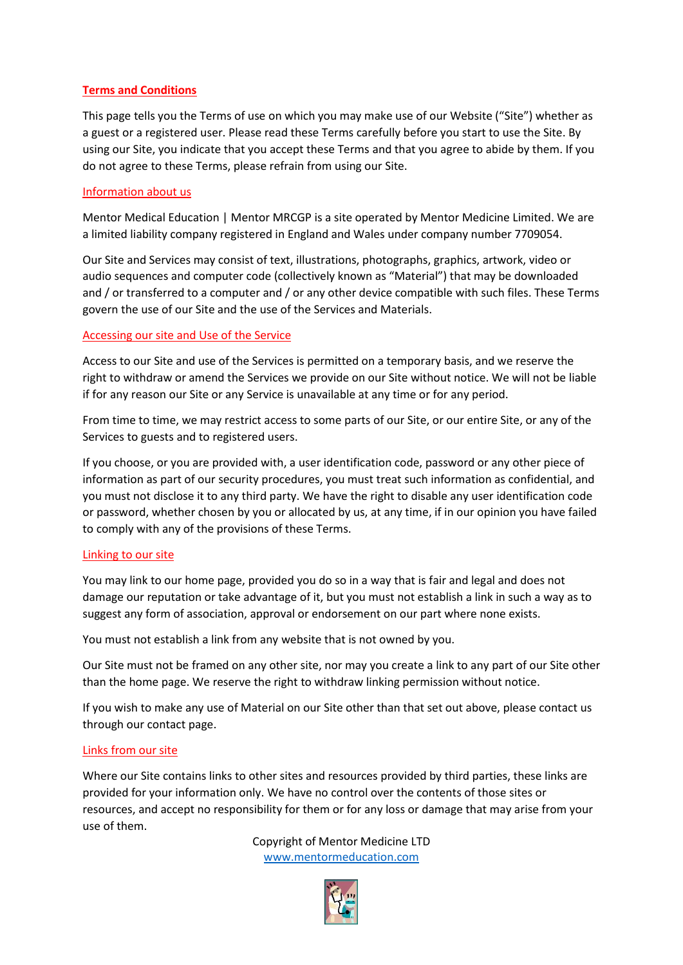# **Terms and Conditions**

This page tells you the Terms of use on which you may make use of our Website ("Site") whether as a guest or a registered user. Please read these Terms carefully before you start to use the Site. By using our Site, you indicate that you accept these Terms and that you agree to abide by them. If you do not agree to these Terms, please refrain from using our Site.

# Information about us

Mentor Medical Education | Mentor MRCGP is a site operated by Mentor Medicine Limited. We are a limited liability company registered in England and Wales under company number 7709054.

Our Site and Services may consist of text, illustrations, photographs, graphics, artwork, video or audio sequences and computer code (collectively known as "Material") that may be downloaded and / or transferred to a computer and / or any other device compatible with such files. These Terms govern the use of our Site and the use of the Services and Materials.

# Accessing our site and Use of the Service

Access to our Site and use of the Services is permitted on a temporary basis, and we reserve the right to withdraw or amend the Services we provide on our Site without notice. We will not be liable if for any reason our Site or any Service is unavailable at any time or for any period.

From time to time, we may restrict access to some parts of our Site, or our entire Site, or any of the Services to guests and to registered users.

If you choose, or you are provided with, a user identification code, password or any other piece of information as part of our security procedures, you must treat such information as confidential, and you must not disclose it to any third party. We have the right to disable any user identification code or password, whether chosen by you or allocated by us, at any time, if in our opinion you have failed to comply with any of the provisions of these Terms.

# Linking to our site

You may link to our home page, provided you do so in a way that is fair and legal and does not damage our reputation or take advantage of it, but you must not establish a link in such a way as to suggest any form of association, approval or endorsement on our part where none exists.

You must not establish a link from any website that is not owned by you.

Our Site must not be framed on any other site, nor may you create a link to any part of our Site other than the home page. We reserve the right to withdraw linking permission without notice.

If you wish to make any use of Material on our Site other than that set out above, please contact us through our contact page.

# Links from our site

Where our Site contains links to other sites and resources provided by third parties, these links are provided for your information only. We have no control over the contents of those sites or resources, and accept no responsibility for them or for any loss or damage that may arise from your use of them.

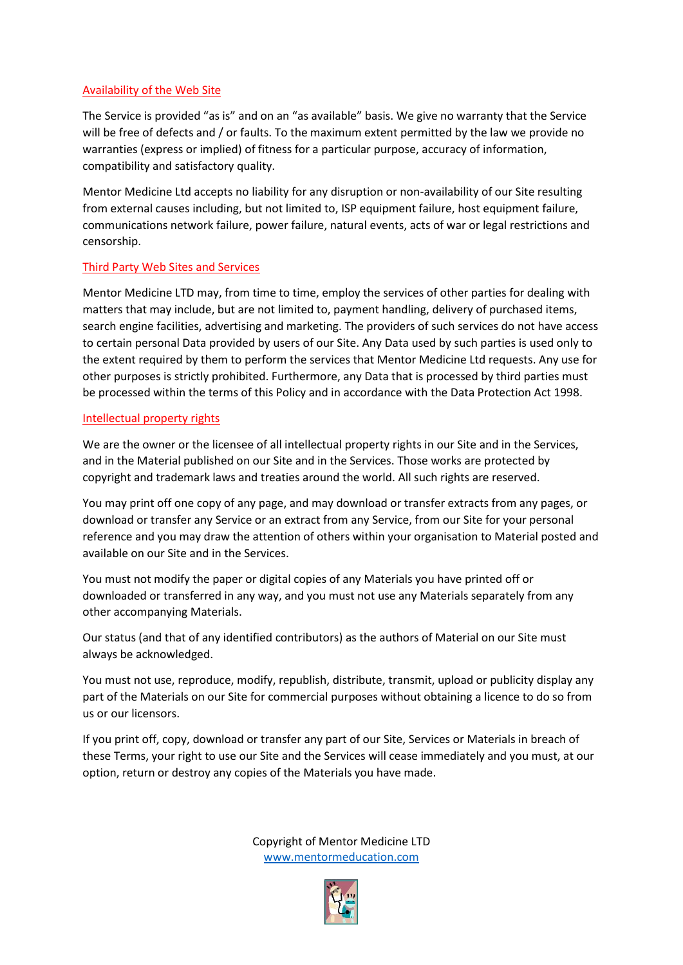# Availability of the Web Site

The Service is provided "as is" and on an "as available" basis. We give no warranty that the Service will be free of defects and / or faults. To the maximum extent permitted by the law we provide no warranties (express or implied) of fitness for a particular purpose, accuracy of information, compatibility and satisfactory quality.

Mentor Medicine Ltd accepts no liability for any disruption or non-availability of our Site resulting from external causes including, but not limited to, ISP equipment failure, host equipment failure, communications network failure, power failure, natural events, acts of war or legal restrictions and censorship.

# Third Party Web Sites and Services

Mentor Medicine LTD may, from time to time, employ the services of other parties for dealing with matters that may include, but are not limited to, payment handling, delivery of purchased items, search engine facilities, advertising and marketing. The providers of such services do not have access to certain personal Data provided by users of our Site. Any Data used by such parties is used only to the extent required by them to perform the services that Mentor Medicine Ltd requests. Any use for other purposes is strictly prohibited. Furthermore, any Data that is processed by third parties must be processed within the terms of this Policy and in accordance with the Data Protection Act 1998.

# Intellectual property rights

We are the owner or the licensee of all intellectual property rights in our Site and in the Services, and in the Material published on our Site and in the Services. Those works are protected by copyright and trademark laws and treaties around the world. All such rights are reserved.

You may print off one copy of any page, and may download or transfer extracts from any pages, or download or transfer any Service or an extract from any Service, from our Site for your personal reference and you may draw the attention of others within your organisation to Material posted and available on our Site and in the Services.

You must not modify the paper or digital copies of any Materials you have printed off or downloaded or transferred in any way, and you must not use any Materials separately from any other accompanying Materials.

Our status (and that of any identified contributors) as the authors of Material on our Site must always be acknowledged.

You must not use, reproduce, modify, republish, distribute, transmit, upload or publicity display any part of the Materials on our Site for commercial purposes without obtaining a licence to do so from us or our licensors.

If you print off, copy, download or transfer any part of our Site, Services or Materials in breach of these Terms, your right to use our Site and the Services will cease immediately and you must, at our option, return or destroy any copies of the Materials you have made.

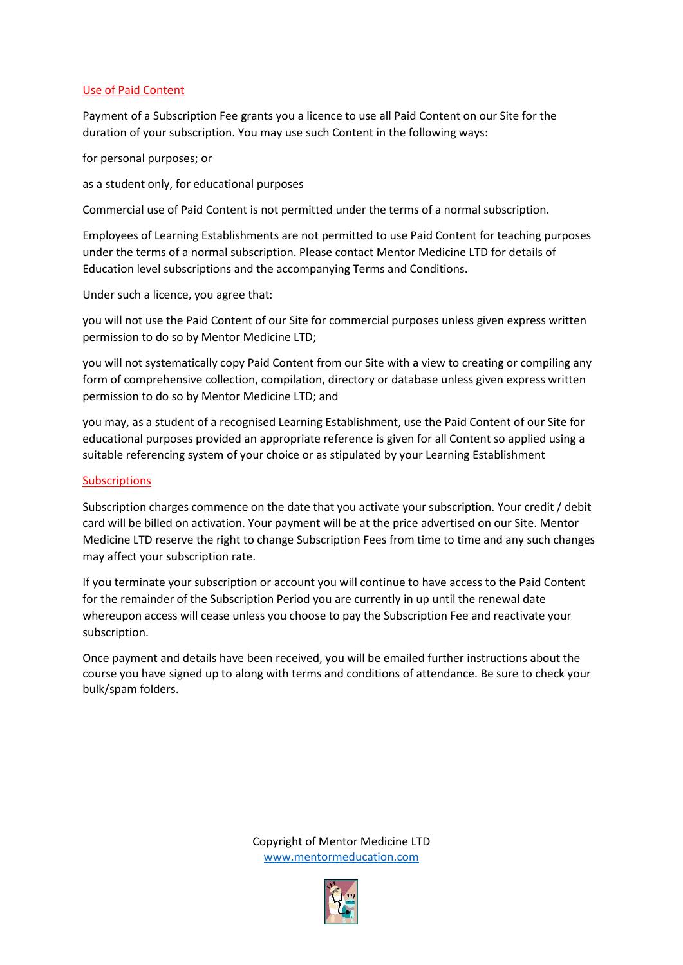# Use of Paid Content

Payment of a Subscription Fee grants you a licence to use all Paid Content on our Site for the duration of your subscription. You may use such Content in the following ways:

for personal purposes; or

as a student only, for educational purposes

Commercial use of Paid Content is not permitted under the terms of a normal subscription.

Employees of Learning Establishments are not permitted to use Paid Content for teaching purposes under the terms of a normal subscription. Please contact Mentor Medicine LTD for details of Education level subscriptions and the accompanying Terms and Conditions.

Under such a licence, you agree that:

you will not use the Paid Content of our Site for commercial purposes unless given express written permission to do so by Mentor Medicine LTD;

you will not systematically copy Paid Content from our Site with a view to creating or compiling any form of comprehensive collection, compilation, directory or database unless given express written permission to do so by Mentor Medicine LTD; and

you may, as a student of a recognised Learning Establishment, use the Paid Content of our Site for educational purposes provided an appropriate reference is given for all Content so applied using a suitable referencing system of your choice or as stipulated by your Learning Establishment

#### **Subscriptions**

Subscription charges commence on the date that you activate your subscription. Your credit / debit card will be billed on activation. Your payment will be at the price advertised on our Site. Mentor Medicine LTD reserve the right to change Subscription Fees from time to time and any such changes may affect your subscription rate.

If you terminate your subscription or account you will continue to have access to the Paid Content for the remainder of the Subscription Period you are currently in up until the renewal date whereupon access will cease unless you choose to pay the Subscription Fee and reactivate your subscription.

Once payment and details have been received, you will be emailed further instructions about the course you have signed up to along with terms and conditions of attendance. Be sure to check your bulk/spam folders.

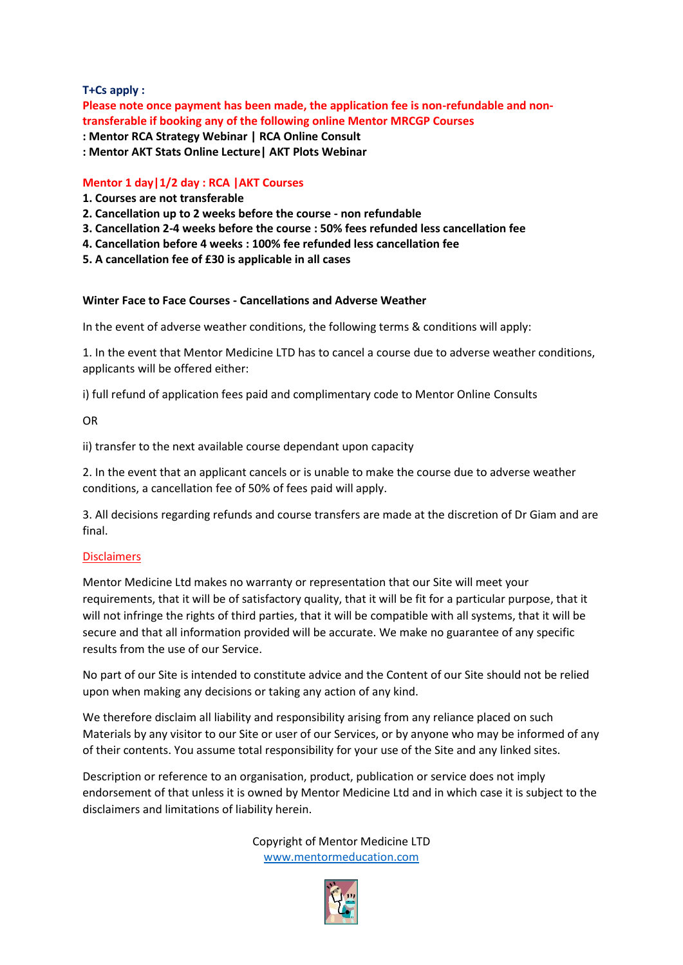# **T+Cs apply :**

**Please note once payment has been made, the application fee is non-refundable and nontransferable if booking any of the following online Mentor MRCGP Courses**

**: Mentor RCA Strategy Webinar | RCA Online Consult : Mentor AKT Stats Online Lecture| AKT Plots Webinar**

# **Mentor 1 day|1/2 day : RCA |AKT Courses**

- **1. Courses are not transferable**
- **2. Cancellation up to 2 weeks before the course - non refundable**
- **3. Cancellation 2-4 weeks before the course : 50% fees refunded less cancellation fee**
- **4. Cancellation before 4 weeks : 100% fee refunded less cancellation fee**
- **5. A cancellation fee of £30 is applicable in all cases**

# **Winter Face to Face Courses - Cancellations and Adverse Weather**

In the event of adverse weather conditions, the following terms & conditions will apply:

1. In the event that Mentor Medicine LTD has to cancel a course due to adverse weather conditions, applicants will be offered either:

i) full refund of application fees paid and complimentary code to Mentor Online Consults

OR

ii) transfer to the next available course dependant upon capacity

2. In the event that an applicant cancels or is unable to make the course due to adverse weather conditions, a cancellation fee of 50% of fees paid will apply.

3. All decisions regarding refunds and course transfers are made at the discretion of Dr Giam and are final.

# **Disclaimers**

Mentor Medicine Ltd makes no warranty or representation that our Site will meet your requirements, that it will be of satisfactory quality, that it will be fit for a particular purpose, that it will not infringe the rights of third parties, that it will be compatible with all systems, that it will be secure and that all information provided will be accurate. We make no guarantee of any specific results from the use of our Service.

No part of our Site is intended to constitute advice and the Content of our Site should not be relied upon when making any decisions or taking any action of any kind.

We therefore disclaim all liability and responsibility arising from any reliance placed on such Materials by any visitor to our Site or user of our Services, or by anyone who may be informed of any of their contents. You assume total responsibility for your use of the Site and any linked sites.

Description or reference to an organisation, product, publication or service does not imply endorsement of that unless it is owned by Mentor Medicine Ltd and in which case it is subject to the disclaimers and limitations of liability herein.

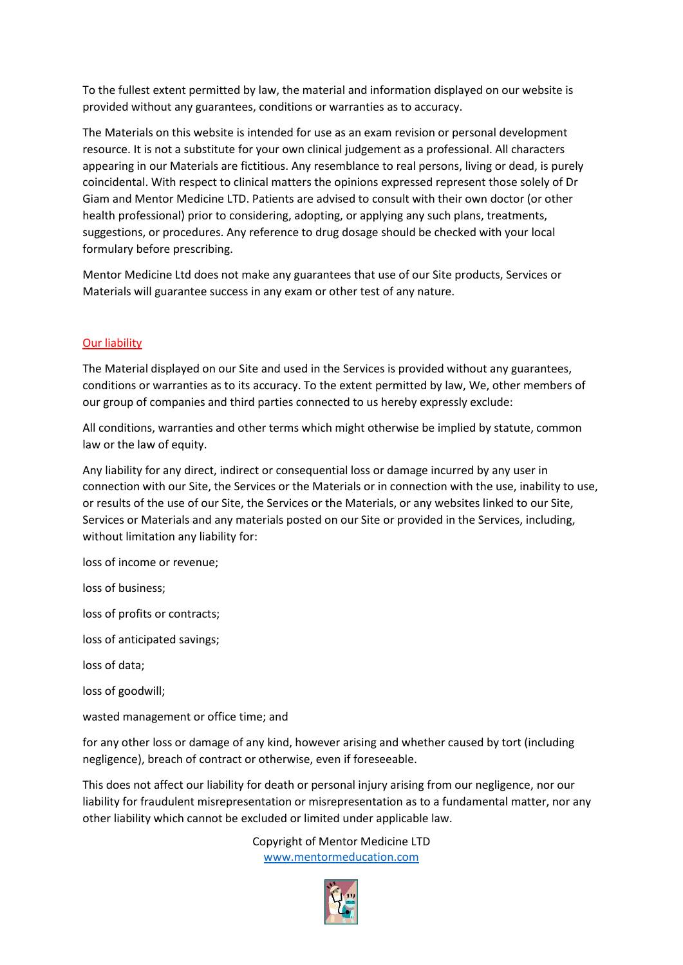To the fullest extent permitted by law, the material and information displayed on our website is provided without any guarantees, conditions or warranties as to accuracy.

The Materials on this website is intended for use as an exam revision or personal development resource. It is not a substitute for your own clinical judgement as a professional. All characters appearing in our Materials are fictitious. Any resemblance to real persons, living or dead, is purely coincidental. With respect to clinical matters the opinions expressed represent those solely of Dr Giam and Mentor Medicine LTD. Patients are advised to consult with their own doctor (or other health professional) prior to considering, adopting, or applying any such plans, treatments, suggestions, or procedures. Any reference to drug dosage should be checked with your local formulary before prescribing.

Mentor Medicine Ltd does not make any guarantees that use of our Site products, Services or Materials will guarantee success in any exam or other test of any nature.

# Our liability

The Material displayed on our Site and used in the Services is provided without any guarantees, conditions or warranties as to its accuracy. To the extent permitted by law, We, other members of our group of companies and third parties connected to us hereby expressly exclude:

All conditions, warranties and other terms which might otherwise be implied by statute, common law or the law of equity.

Any liability for any direct, indirect or consequential loss or damage incurred by any user in connection with our Site, the Services or the Materials or in connection with the use, inability to use, or results of the use of our Site, the Services or the Materials, or any websites linked to our Site, Services or Materials and any materials posted on our Site or provided in the Services, including, without limitation any liability for:

loss of income or revenue;

loss of business;

loss of profits or contracts;

loss of anticipated savings;

loss of data;

loss of goodwill;

wasted management or office time; and

for any other loss or damage of any kind, however arising and whether caused by tort (including negligence), breach of contract or otherwise, even if foreseeable.

This does not affect our liability for death or personal injury arising from our negligence, nor our liability for fraudulent misrepresentation or misrepresentation as to a fundamental matter, nor any other liability which cannot be excluded or limited under applicable law.